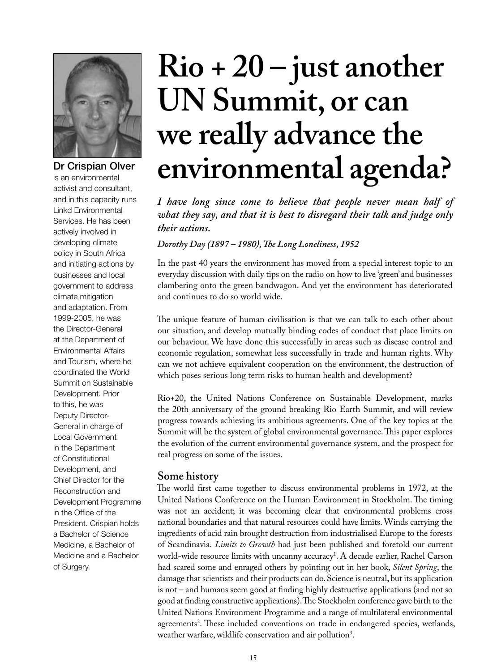

is an environmental activist and consultant, and in this capacity runs Linkd Environmental Services. He has been actively involved in developing climate policy in South Africa and initiating actions by businesses and local government to address climate mitigation and adaptation. From 1999-2005, he was the Director-General at the Department of Environmental Affairs and Tourism, where he coordinated the World Summit on Sustainable Development. Prior to this, he was Deputy Director-General in charge of Local Government in the Department of Constitutional Development, and Chief Director for the Reconstruction and Development Programme in the Office of the President. Crispian holds a Bachelor of Science Medicine, a Bachelor of Medicine and a Bachelor of Surgery.

# **Rio + 20 – just another UN Summit, or can we really advance the**  Dr Crispian Olver environmental agenda?

*I have long since come to believe that people never mean half of what they say, and that it is best to disregard their talk and judge only their actions.*

*Dorothy Day (1897 – 1980), The Long Loneliness, 1952*

In the past 40 years the environment has moved from a special interest topic to an everyday discussion with daily tips on the radio on how to live 'green' and businesses clambering onto the green bandwagon. And yet the environment has deteriorated and continues to do so world wide.

The unique feature of human civilisation is that we can talk to each other about our situation, and develop mutually binding codes of conduct that place limits on our behaviour. We have done this successfully in areas such as disease control and economic regulation, somewhat less successfully in trade and human rights. Why can we not achieve equivalent cooperation on the environment, the destruction of which poses serious long term risks to human health and development?

Rio+20, the United Nations Conference on Sustainable Development, marks the 20th anniversary of the ground breaking Rio Earth Summit, and will review progress towards achieving its ambitious agreements. One of the key topics at the Summit will be the system of global environmental governance. This paper explores the evolution of the current environmental governance system, and the prospect for real progress on some of the issues.

#### **Some history**

The world first came together to discuss environmental problems in 1972, at the United Nations Conference on the Human Environment in Stockholm. The timing was not an accident; it was becoming clear that environmental problems cross national boundaries and that natural resources could have limits. Winds carrying the ingredients of acid rain brought destruction from industrialised Europe to the forests of Scandinavia. *Limits to Growth* had just been published and foretold our current world-wide resource limits with uncanny accuracy1 . A decade earlier, Rachel Carson had scared some and enraged others by pointing out in her book, *Silent Spring*, the damage that scientists and their products can do. Science is neutral, but its application is not – and humans seem good at finding highly destructive applications (and not so good at finding constructive applications). The Stockholm conference gave birth to the United Nations Environment Programme and a range of multilateral environmental agreements2 . These included conventions on trade in endangered species, wetlands, weather warfare, wildlife conservation and air pollution<sup>3</sup>.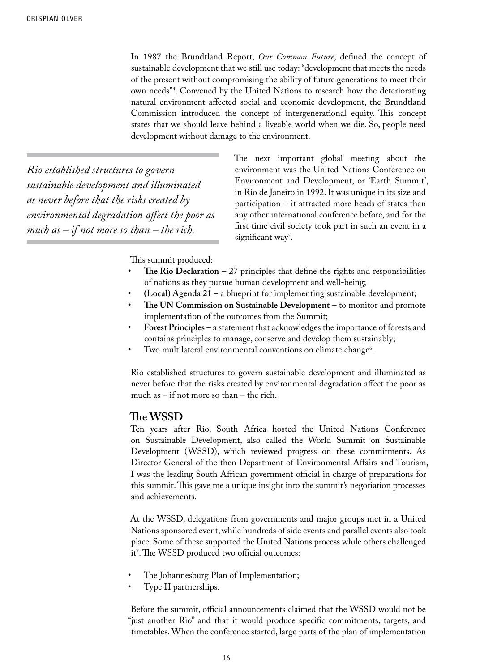In 1987 the Brundtland Report, *Our Common Future*, defined the concept of sustainable development that we still use today: "development that meets the needs of the present without compromising the ability of future generations to meet their own needs"4 . Convened by the United Nations to research how the deteriorating natural environment affected social and economic development, the Brundtland Commission introduced the concept of intergenerational equity. This concept states that we should leave behind a liveable world when we die. So, people need development without damage to the environment.

*Rio established structures to govern sustainable development and illuminated as never before that the risks created by environmental degradation affect the poor as much as – if not more so than – the rich.* 

The next important global meeting about the environment was the United Nations Conference on Environment and Development, or 'Earth Summit', in Rio de Janeiro in 1992. It was unique in its size and participation – it attracted more heads of states than any other international conference before, and for the first time civil society took part in such an event in a significant way<sup>5</sup>.

This summit produced:

- The Rio Declaration  $-27$  principles that define the rights and responsibilities of nations as they pursue human development and well-being;
- $(Local)$  Agenda  $21 a$  blueprint for implementing sustainable development;
- The UN Commission on Sustainable Development to monitor and promote implementation of the outcomes from the Summit;
- Forest Principles a statement that acknowledges the importance of forests and contains principles to manage, conserve and develop them sustainably;
- Two multilateral environmental conventions on climate change<sup>6</sup>.

Rio established structures to govern sustainable development and illuminated as never before that the risks created by environmental degradation affect the poor as much as – if not more so than – the rich.

#### **The WSSD**

Ten years after Rio, South Africa hosted the United Nations Conference on Sustainable Development, also called the World Summit on Sustainable Development (WSSD), which reviewed progress on these commitments. As Director General of the then Department of Environmental Affairs and Tourism, I was the leading South African government official in charge of preparations for this summit. This gave me a unique insight into the summit's negotiation processes and achievements.

At the WSSD, delegations from governments and major groups met in a United Nations sponsored event, while hundreds of side events and parallel events also took place. Some of these supported the United Nations process while others challenged it7 . The WSSD produced two official outcomes:

- The Johannesburg Plan of Implementation;
- Type II partnerships.

Before the summit, official announcements claimed that the WSSD would not be "just another Rio" and that it would produce specific commitments, targets, and timetables. When the conference started, large parts of the plan of implementation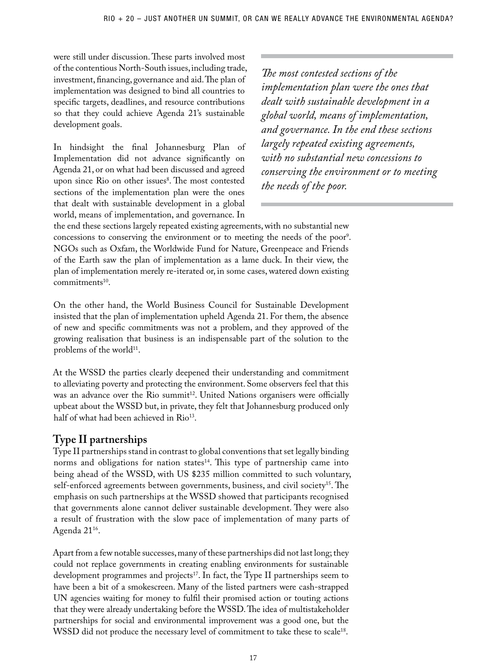were still under discussion. These parts involved most of the contentious North-South issues, including trade, investment, financing, governance and aid. The plan of implementation was designed to bind all countries to specific targets, deadlines, and resource contributions so that they could achieve Agenda 21's sustainable development goals.

In hindsight the final Johannesburg Plan of Implementation did not advance significantly on Agenda 21, or on what had been discussed and agreed upon since Rio on other issues<sup>8</sup>. The most contested sections of the implementation plan were the ones that dealt with sustainable development in a global world, means of implementation, and governance. In

*The most contested sections of the implementation plan were the ones that dealt with sustainable development in a global world, means of implementation, and governance. In the end these sections largely repeated existing agreements, with no substantial new concessions to conserving the environment or to meeting the needs of the poor.*

the end these sections largely repeated existing agreements, with no substantial new concessions to conserving the environment or to meeting the needs of the poor<sup>9</sup>. NGOs such as Oxfam, the Worldwide Fund for Nature, Greenpeace and Friends of the Earth saw the plan of implementation as a lame duck. In their view, the plan of implementation merely re-iterated or, in some cases, watered down existing  $commitments<sup>10</sup>$ .

On the other hand, the World Business Council for Sustainable Development insisted that the plan of implementation upheld Agenda 21. For them, the absence of new and specific commitments was not a problem, and they approved of the growing realisation that business is an indispensable part of the solution to the problems of the world<sup>11</sup>.

At the WSSD the parties clearly deepened their understanding and commitment to alleviating poverty and protecting the environment. Some observers feel that this was an advance over the Rio summit<sup>12</sup>. United Nations organisers were officially upbeat about the WSSD but, in private, they felt that Johannesburg produced only half of what had been achieved in Rio<sup>13</sup>.

## **Type II partnerships**

Type II partnerships stand in contrast to global conventions that set legally binding norms and obligations for nation states $14$ . This type of partnership came into being ahead of the WSSD, with US \$235 million committed to such voluntary, self-enforced agreements between governments, business, and civil society<sup>15</sup>. The emphasis on such partnerships at the WSSD showed that participants recognised that governments alone cannot deliver sustainable development. They were also a result of frustration with the slow pace of implementation of many parts of Agenda 21<sup>16</sup>.

Apart from a few notable successes, many of these partnerships did not last long; they could not replace governments in creating enabling environments for sustainable development programmes and projects<sup>17</sup>. In fact, the Type II partnerships seem to have been a bit of a smokescreen. Many of the listed partners were cash-strapped UN agencies waiting for money to fulfil their promised action or touting actions that they were already undertaking before the WSSD. The idea of multistakeholder partnerships for social and environmental improvement was a good one, but the WSSD did not produce the necessary level of commitment to take these to scale<sup>18</sup>.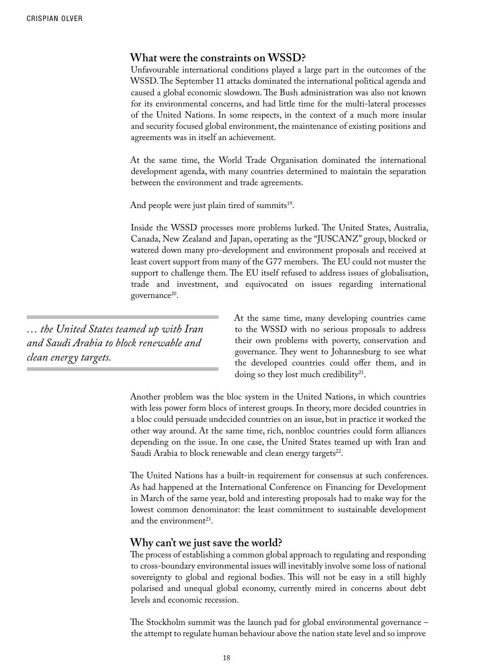#### **What were the constraints on WSSD?**

Unfavourable international conditions played a large part in the outcomes of the WSSD. The September 11 attacks dominated the international political agenda and caused a global economic slowdown. The Bush administration was also not known for its environmental concerns, and had little time for the multi-lateral processes of the United Nations. In some respects, in the context of a much more insular and security focused global environment, the maintenance of existing positions and agreements was in itself an achievement.

At the same time, the World Trade Organisation dominated the international development agenda, with many countries determined to maintain the separation between the environment and trade agreements.

And people were just plain tired of summits<sup>19</sup>.

Inside the WSSD processes more problems lurked. The United States, Australia, Canada, New Zealand and Japan, operating as the "JUSCANZ" group, blocked or watered down many pro-development and environment proposals and received at least covert support from many of the G77 members. The EU could not muster the support to challenge them. The EU itself refused to address issues of globalisation, trade and investment, and equivocated on issues regarding international governance<sup>20</sup>.

*… the United States teamed up with Iran and Saudi Arabia to block renewable and clean energy targets.*

At the same time, many developing countries came to the WSSD with no serious proposals to address their own problems with poverty, conservation and governance. They went to Johannesburg to see what the developed countries could offer them, and in doing so they lost much credibility<sup>21</sup>.

Another problem was the bloc system in the United Nations, in which countries with less power form blocs of interest groups. In theory, more decided countries in a bloc could persuade undecided countries on an issue, but in practice it worked the other way around. At the same time, rich, nonbloc countries could form alliances depending on the issue. In one case, the United States teamed up with Iran and Saudi Arabia to block renewable and clean energy targets<sup>22</sup>.

The United Nations has a built-in requirement for consensus at such conferences. As had happened at the International Conference on Financing for Development in March of the same year, bold and interesting proposals had to make way for the lowest common denominator: the least commitment to sustainable development and the environment<sup>23</sup>.

#### **Why can't we just save the world?**

The process of establishing a common global approach to regulating and responding to cross-boundary environmental issues will inevitably involve some loss of national sovereignty to global and regional bodies. This will not be easy in a still highly polarised and unequal global economy, currently mired in concerns about debt levels and economic recession.

The Stockholm summit was the launch pad for global environmental governance – the attempt to regulate human behaviour above the nation state level and so improve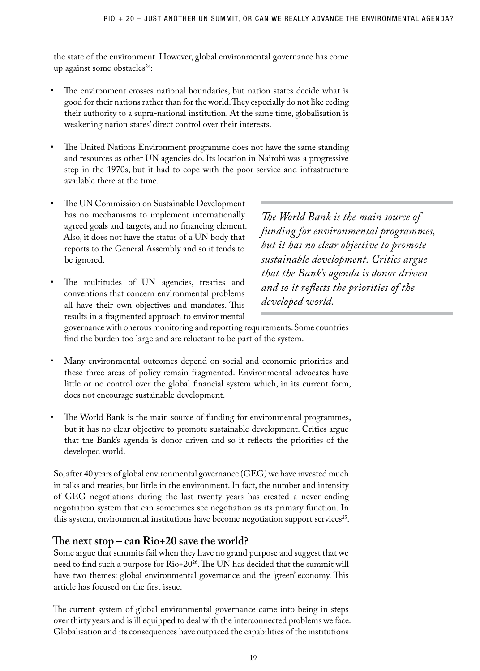the state of the environment. However, global environmental governance has come up against some obstacles<sup>24</sup>:

- The environment crosses national boundaries, but nation states decide what is good for their nations rather than for the world. They especially do not like ceding their authority to a supra-national institution. At the same time, globalisation is weakening nation states' direct control over their interests.
- The United Nations Environment programme does not have the same standing and resources as other UN agencies do. Its location in Nairobi was a progressive step in the 1970s, but it had to cope with the poor service and infrastructure available there at the time.
- The UN Commission on Sustainable Development has no mechanisms to implement internationally agreed goals and targets, and no financing element. Also, it does not have the status of a UN body that reports to the General Assembly and so it tends to be ignored.
- The multitudes of UN agencies, treaties and conventions that concern environmental problems all have their own objectives and mandates. This results in a fragmented approach to environmental

*The World Bank is the main source of funding for environmental programmes, but it has no clear objective to promote sustainable development. Critics argue that the Bank's agenda is donor driven and so it reflects the priorities of the developed world.*

governance with onerous monitoring and reporting requirements. Some countries find the burden too large and are reluctant to be part of the system.

- Many environmental outcomes depend on social and economic priorities and these three areas of policy remain fragmented. Environmental advocates have little or no control over the global financial system which, in its current form, does not encourage sustainable development.
- The World Bank is the main source of funding for environmental programmes, but it has no clear objective to promote sustainable development. Critics argue that the Bank's agenda is donor driven and so it reflects the priorities of the developed world.

So, after 40 years of global environmental governance (GEG) we have invested much in talks and treaties, but little in the environment. In fact, the number and intensity of GEG negotiations during the last twenty years has created a never-ending negotiation system that can sometimes see negotiation as its primary function. In this system, environmental institutions have become negotiation support services<sup>25</sup>.

### **The next stop – can Rio+20 save the world?**

Some argue that summits fail when they have no grand purpose and suggest that we need to find such a purpose for Rio+2026. The UN has decided that the summit will have two themes: global environmental governance and the 'green' economy. This article has focused on the first issue.

The current system of global environmental governance came into being in steps over thirty years and is ill equipped to deal with the interconnected problems we face. Globalisation and its consequences have outpaced the capabilities of the institutions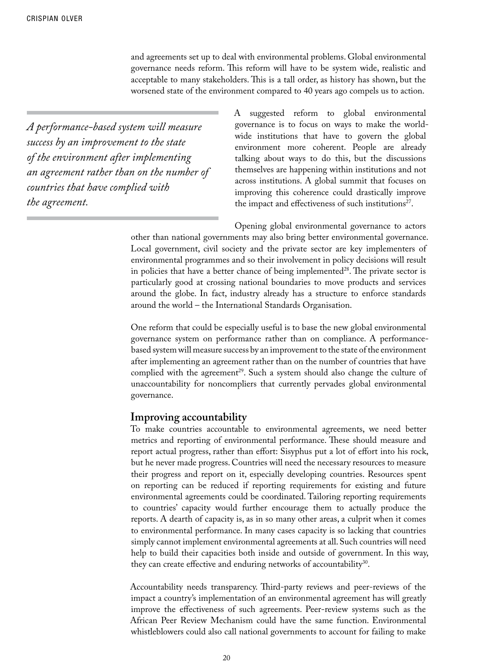and agreements set up to deal with environmental problems. Global environmental governance needs reform. This reform will have to be system wide, realistic and acceptable to many stakeholders. This is a tall order, as history has shown, but the worsened state of the environment compared to 40 years ago compels us to action.

*A performance-based system will measure success by an improvement to the state of the environment after implementing an agreement rather than on the number of countries that have complied with the agreement.*

A suggested reform to global environmental governance is to focus on ways to make the worldwide institutions that have to govern the global environment more coherent. People are already talking about ways to do this, but the discussions themselves are happening within institutions and not across institutions. A global summit that focuses on improving this coherence could drastically improve the impact and effectiveness of such institutions<sup>27</sup>.

Opening global environmental governance to actors other than national governments may also bring better environmental governance. Local government, civil society and the private sector are key implementers of environmental programmes and so their involvement in policy decisions will result in policies that have a better chance of being implemented $28$ . The private sector is particularly good at crossing national boundaries to move products and services around the globe. In fact, industry already has a structure to enforce standards around the world – the International Standards Organisation.

One reform that could be especially useful is to base the new global environmental governance system on performance rather than on compliance. A performancebased system will measure success by an improvement to the state of the environment after implementing an agreement rather than on the number of countries that have complied with the agreement<sup>29</sup>. Such a system should also change the culture of unaccountability for noncompliers that currently pervades global environmental governance.

#### **Improving accountability**

To make countries accountable to environmental agreements, we need better metrics and reporting of environmental performance. These should measure and report actual progress, rather than effort: Sisyphus put a lot of effort into his rock, but he never made progress. Countries will need the necessary resources to measure their progress and report on it, especially developing countries. Resources spent on reporting can be reduced if reporting requirements for existing and future environmental agreements could be coordinated. Tailoring reporting requirements to countries' capacity would further encourage them to actually produce the reports. A dearth of capacity is, as in so many other areas, a culprit when it comes to environmental performance. In many cases capacity is so lacking that countries simply cannot implement environmental agreements at all. Such countries will need help to build their capacities both inside and outside of government. In this way, they can create effective and enduring networks of accountability $30$ .

Accountability needs transparency. Third-party reviews and peer-reviews of the impact a country's implementation of an environmental agreement has will greatly improve the effectiveness of such agreements. Peer-review systems such as the African Peer Review Mechanism could have the same function. Environmental whistleblowers could also call national governments to account for failing to make